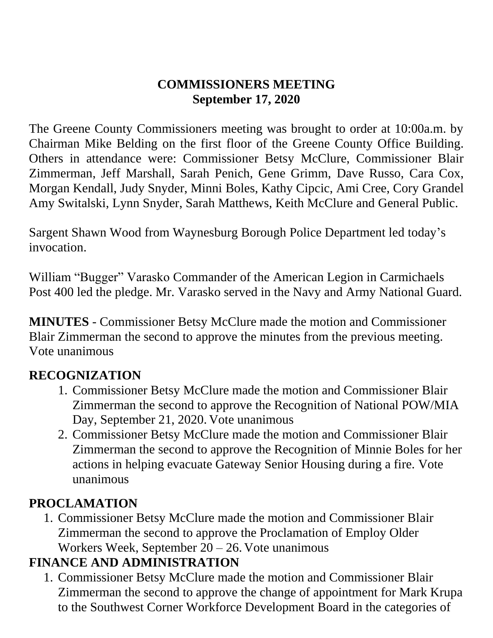#### **COMMISSIONERS MEETING September 17, 2020**

The Greene County Commissioners meeting was brought to order at 10:00a.m. by Chairman Mike Belding on the first floor of the Greene County Office Building. Others in attendance were: Commissioner Betsy McClure, Commissioner Blair Zimmerman, Jeff Marshall, Sarah Penich, Gene Grimm, Dave Russo, Cara Cox, Morgan Kendall, Judy Snyder, Minni Boles, Kathy Cipcic, Ami Cree, Cory Grandel Amy Switalski, Lynn Snyder, Sarah Matthews, Keith McClure and General Public.

Sargent Shawn Wood from Waynesburg Borough Police Department led today's invocation.

William "Bugger" Varasko Commander of the American Legion in Carmichaels Post 400 led the pledge. Mr. Varasko served in the Navy and Army National Guard.

**MINUTES** - Commissioner Betsy McClure made the motion and Commissioner Blair Zimmerman the second to approve the minutes from the previous meeting. Vote unanimous

### **RECOGNIZATION**

- 1. Commissioner Betsy McClure made the motion and Commissioner Blair Zimmerman the second to approve the Recognition of National POW/MIA Day, September 21, 2020. Vote unanimous
- 2. Commissioner Betsy McClure made the motion and Commissioner Blair Zimmerman the second to approve the Recognition of Minnie Boles for her actions in helping evacuate Gateway Senior Housing during a fire. Vote unanimous

#### **PROCLAMATION**

1. Commissioner Betsy McClure made the motion and Commissioner Blair Zimmerman the second to approve the Proclamation of Employ Older Workers Week, September  $20 - 26$ . Vote unanimous

### **FINANCE AND ADMINISTRATION**

1. Commissioner Betsy McClure made the motion and Commissioner Blair Zimmerman the second to approve the change of appointment for Mark Krupa to the Southwest Corner Workforce Development Board in the categories of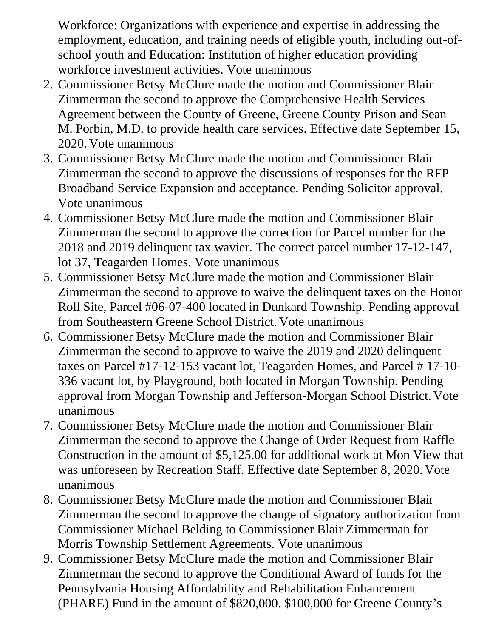Workforce: Organizations with experience and expertise in addressing the employment, education, and training needs of eligible youth, including out-ofschool youth and Education: Institution of higher education providing workforce investment activities. Vote unanimous

- 2. Commissioner Betsy McClure made the motion and Commissioner Blair Zimmerman the second to approve the Comprehensive Health Services Agreement between the County of Greene, Greene County Prison and Sean M. Porbin, M.D. to provide health care services. Effective date September 15, 2020. Vote unanimous
- 3. Commissioner Betsy McClure made the motion and Commissioner Blair Zimmerman the second to approve the discussions of responses for the RFP Broadband Service Expansion and acceptance. Pending Solicitor approval. Vote unanimous
- 4. Commissioner Betsy McClure made the motion and Commissioner Blair Zimmerman the second to approve the correction for Parcel number for the 2018 and 2019 delinquent tax wavier. The correct parcel number 17-12-147, lot 37, Teagarden Homes. Vote unanimous
- 5. Commissioner Betsy McClure made the motion and Commissioner Blair Zimmerman the second to approve to waive the delinquent taxes on the Honor Roll Site, Parcel #06-07-400 located in Dunkard Township. Pending approval from Southeastern Greene School District. Vote unanimous
- 6. Commissioner Betsy McClure made the motion and Commissioner Blair Zimmerman the second to approve to waive the 2019 and 2020 delinquent taxes on Parcel #17-12-153 vacant lot, Teagarden Homes, and Parcel # 17-10- 336 vacant lot, by Playground, both located in Morgan Township. Pending approval from Morgan Township and Jefferson-Morgan School District. Vote unanimous
- 7. Commissioner Betsy McClure made the motion and Commissioner Blair Zimmerman the second to approve the Change of Order Request from Raffle Construction in the amount of \$5,125.00 for additional work at Mon View that was unforeseen by Recreation Staff. Effective date September 8, 2020. Vote unanimous
- 8. Commissioner Betsy McClure made the motion and Commissioner Blair Zimmerman the second to approve the change of signatory authorization from Commissioner Michael Belding to Commissioner Blair Zimmerman for Morris Township Settlement Agreements. Vote unanimous
- 9. Commissioner Betsy McClure made the motion and Commissioner Blair Zimmerman the second to approve the Conditional Award of funds for the Pennsylvania Housing Affordability and Rehabilitation Enhancement (PHARE) Fund in the amount of \$820,000. \$100,000 for Greene County's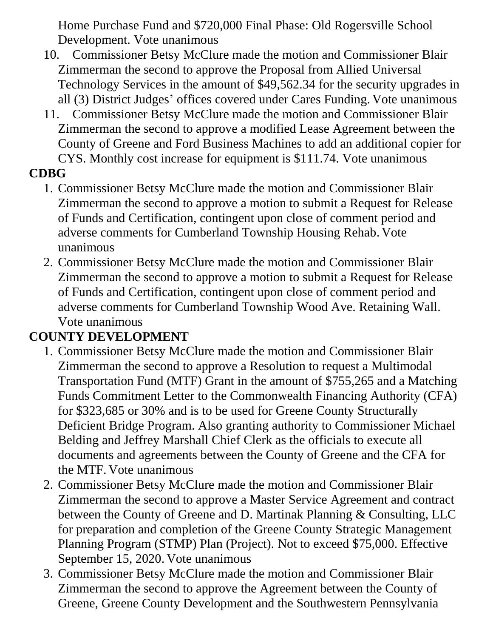Home Purchase Fund and \$720,000 Final Phase: Old Rogersville School Development. Vote unanimous

- 10. Commissioner Betsy McClure made the motion and Commissioner Blair Zimmerman the second to approve the Proposal from Allied Universal Technology Services in the amount of \$49,562.34 for the security upgrades in all (3) District Judges' offices covered under Cares Funding. Vote unanimous
- 11. Commissioner Betsy McClure made the motion and Commissioner Blair Zimmerman the second to approve a modified Lease Agreement between the County of Greene and Ford Business Machines to add an additional copier for CYS. Monthly cost increase for equipment is \$111.74. Vote unanimous

### **CDBG**

- 1. Commissioner Betsy McClure made the motion and Commissioner Blair Zimmerman the second to approve a motion to submit a Request for Release of Funds and Certification, contingent upon close of comment period and adverse comments for Cumberland Township Housing Rehab. Vote unanimous
- 2. Commissioner Betsy McClure made the motion and Commissioner Blair Zimmerman the second to approve a motion to submit a Request for Release of Funds and Certification, contingent upon close of comment period and adverse comments for Cumberland Township Wood Ave. Retaining Wall. Vote unanimous

### **COUNTY DEVELOPMENT**

- 1. Commissioner Betsy McClure made the motion and Commissioner Blair Zimmerman the second to approve a Resolution to request a Multimodal Transportation Fund (MTF) Grant in the amount of \$755,265 and a Matching Funds Commitment Letter to the Commonwealth Financing Authority (CFA) for \$323,685 or 30% and is to be used for Greene County Structurally Deficient Bridge Program. Also granting authority to Commissioner Michael Belding and Jeffrey Marshall Chief Clerk as the officials to execute all documents and agreements between the County of Greene and the CFA for the MTF. Vote unanimous
- 2. Commissioner Betsy McClure made the motion and Commissioner Blair Zimmerman the second to approve a Master Service Agreement and contract between the County of Greene and D. Martinak Planning & Consulting, LLC for preparation and completion of the Greene County Strategic Management Planning Program (STMP) Plan (Project). Not to exceed \$75,000. Effective September 15, 2020. Vote unanimous
- 3. Commissioner Betsy McClure made the motion and Commissioner Blair Zimmerman the second to approve the Agreement between the County of Greene, Greene County Development and the Southwestern Pennsylvania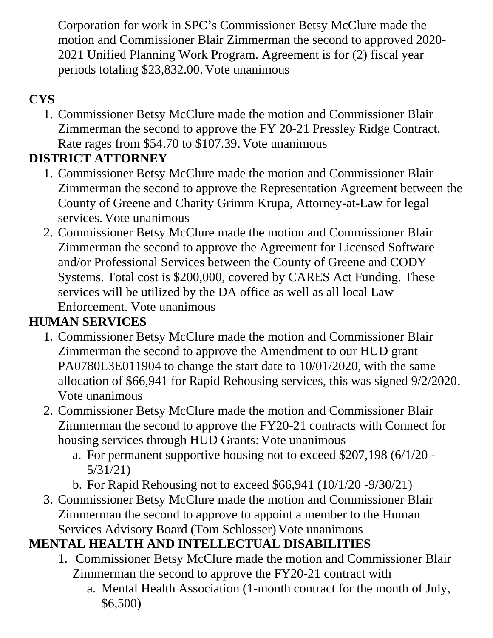Corporation for work in SPC's Commissioner Betsy McClure made the motion and Commissioner Blair Zimmerman the second to approved 2020- 2021 Unified Planning Work Program. Agreement is for (2) fiscal year periods totaling \$23,832.00. Vote unanimous

# **CYS**

1. Commissioner Betsy McClure made the motion and Commissioner Blair Zimmerman the second to approve the FY 20-21 Pressley Ridge Contract. Rate rages from \$54.70 to \$107.39. Vote unanimous

# **DISTRICT ATTORNEY**

- 1. Commissioner Betsy McClure made the motion and Commissioner Blair Zimmerman the second to approve the Representation Agreement between the County of Greene and Charity Grimm Krupa, Attorney-at-Law for legal services. Vote unanimous
- 2. Commissioner Betsy McClure made the motion and Commissioner Blair Zimmerman the second to approve the Agreement for Licensed Software and/or Professional Services between the County of Greene and CODY Systems. Total cost is \$200,000, covered by CARES Act Funding. These services will be utilized by the DA office as well as all local Law Enforcement. Vote unanimous

# **HUMAN SERVICES**

- 1. Commissioner Betsy McClure made the motion and Commissioner Blair Zimmerman the second to approve the Amendment to our HUD grant PA0780L3E011904 to change the start date to 10/01/2020, with the same allocation of \$66,941 for Rapid Rehousing services, this was signed 9/2/2020. Vote unanimous
- 2. Commissioner Betsy McClure made the motion and Commissioner Blair Zimmerman the second to approve the FY20-21 contracts with Connect for housing services through HUD Grants: Vote unanimous
	- a. For permanent supportive housing not to exceed \$207,198 (6/1/20 5/31/21)
	- b. For Rapid Rehousing not to exceed \$66,941 (10/1/20 -9/30/21)
- 3. Commissioner Betsy McClure made the motion and Commissioner Blair Zimmerman the second to approve to appoint a member to the Human Services Advisory Board (Tom Schlosser) Vote unanimous

# **MENTAL HEALTH AND INTELLECTUAL DISABILITIES**

- 1. Commissioner Betsy McClure made the motion and Commissioner Blair Zimmerman the second to approve the FY20-21 contract with
	- a. Mental Health Association (1-month contract for the month of July, \$6,500)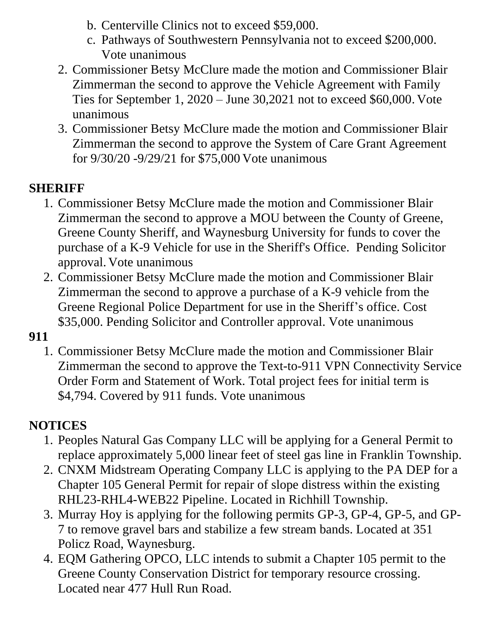- b. Centerville Clinics not to exceed \$59,000.
- c. Pathways of Southwestern Pennsylvania not to exceed \$200,000. Vote unanimous
- 2. Commissioner Betsy McClure made the motion and Commissioner Blair Zimmerman the second to approve the Vehicle Agreement with Family Ties for September 1, 2020 – June 30,2021 not to exceed \$60,000. Vote unanimous
- 3. Commissioner Betsy McClure made the motion and Commissioner Blair Zimmerman the second to approve the System of Care Grant Agreement for 9/30/20 -9/29/21 for \$75,000 Vote unanimous

### **SHERIFF**

- 1. Commissioner Betsy McClure made the motion and Commissioner Blair Zimmerman the second to approve a MOU between the County of Greene, Greene County Sheriff, and Waynesburg University for funds to cover the purchase of a K-9 Vehicle for use in the Sheriff's Office. Pending Solicitor approval. Vote unanimous
- 2. Commissioner Betsy McClure made the motion and Commissioner Blair Zimmerman the second to approve a purchase of a K-9 vehicle from the Greene Regional Police Department for use in the Sheriff's office. Cost \$35,000. Pending Solicitor and Controller approval. Vote unanimous

#### **911**

1. Commissioner Betsy McClure made the motion and Commissioner Blair Zimmerman the second to approve the Text-to-911 VPN Connectivity Service Order Form and Statement of Work. Total project fees for initial term is \$4,794. Covered by 911 funds. Vote unanimous

### **NOTICES**

- 1. Peoples Natural Gas Company LLC will be applying for a General Permit to replace approximately 5,000 linear feet of steel gas line in Franklin Township.
- 2. CNXM Midstream Operating Company LLC is applying to the PA DEP for a Chapter 105 General Permit for repair of slope distress within the existing RHL23-RHL4-WEB22 Pipeline. Located in Richhill Township.
- 3. Murray Hoy is applying for the following permits GP-3, GP-4, GP-5, and GP-7 to remove gravel bars and stabilize a few stream bands. Located at 351 Policz Road, Waynesburg.
- 4. EQM Gathering OPCO, LLC intends to submit a Chapter 105 permit to the Greene County Conservation District for temporary resource crossing. Located near 477 Hull Run Road.